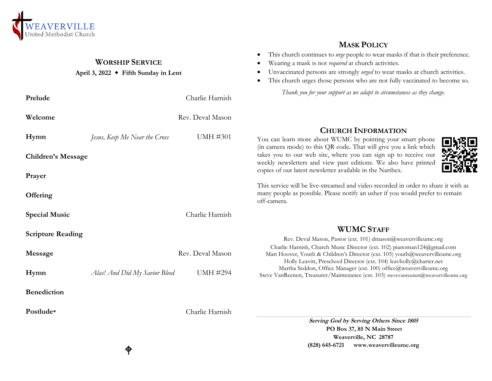

## **WORSHIP SERVICE**

#### **April 3, 2022 Fifth Sunday in Lent**

| Prelude                   |                               | Charlie Harnish  | Thank you for your support as we adapt to circumstances as they change.                                                                                                                                                       |  |
|---------------------------|-------------------------------|------------------|-------------------------------------------------------------------------------------------------------------------------------------------------------------------------------------------------------------------------------|--|
| Welcome                   |                               | Rev. Deval Mason |                                                                                                                                                                                                                               |  |
| Hymn                      | Jesus, Keep Me Near the Cross | <b>UMH #301</b>  | <b>CHURCH INFORMATION</b><br>You can learn more about WUMC by pointing your smart phone<br>(in camera mode) to this QR code. That will give you a link which                                                                  |  |
| <b>Children's Message</b> |                               |                  | takes you to our web site, where you can sign up to receive our<br>weekly newsletters and view past editions. We also have printed                                                                                            |  |
| Prayer                    |                               |                  | copies of our latest newsletter available in the Narthex.                                                                                                                                                                     |  |
| Offering                  |                               |                  | This service will be live-streamed and video recorded in order to share it with as<br>many people as possible. Please notify an usher if you would prefer to remain<br>off-camera.                                            |  |
| <b>Special Music</b>      |                               | Charlie Harnish  |                                                                                                                                                                                                                               |  |
| <b>Scripture Reading</b>  |                               |                  | <b>WUMC STAFF</b><br>Rev. Deval Mason, Pastor (ext. 101) dmason@weavervilleumc.org                                                                                                                                            |  |
| Message                   |                               | Rev. Deval Mason | Charlie Harnish, Church Music Director (ext. 102) pianoman124@gmail.com<br>Matt Hoover, Youth & Children's Director (ext. 105) youth@weavervilleumc.org<br>Holly Leavitt, Preschool Director (ext. 104) leavholly@charter.net |  |
| Hymn                      | Alas! And Did My Savior Bleed | <b>UMH #294</b>  | Martha Seddon, Office Manager (ext. 100) office@weavervilleumc.org<br>Steve VanReenen, Treasurer/Maintenance (ext. 103) stevevanreenen@weavervilleumc.org                                                                     |  |
| <b>Benediction</b>        |                               |                  |                                                                                                                                                                                                                               |  |
| Postlude*                 |                               | Charlie Harnish  |                                                                                                                                                                                                                               |  |
|                           |                               |                  | Serving God by Serving Others Since 1805                                                                                                                                                                                      |  |

**PO Box 37, 85 N Main Street Weaverville, NC 28787 (828) 645-6721 [www.weavervilleumc.org](http://www.weavervilleumc.org/)**

**MASK POLICY** This church continues to *urge* people to wear masks if that is their preference.

 Unvaccinated persons are strongly *urged* to wear masks at church activities. This church urges those persons who are not fully vaccinated to become so.

Wearing a mask is not *required* at church activities.